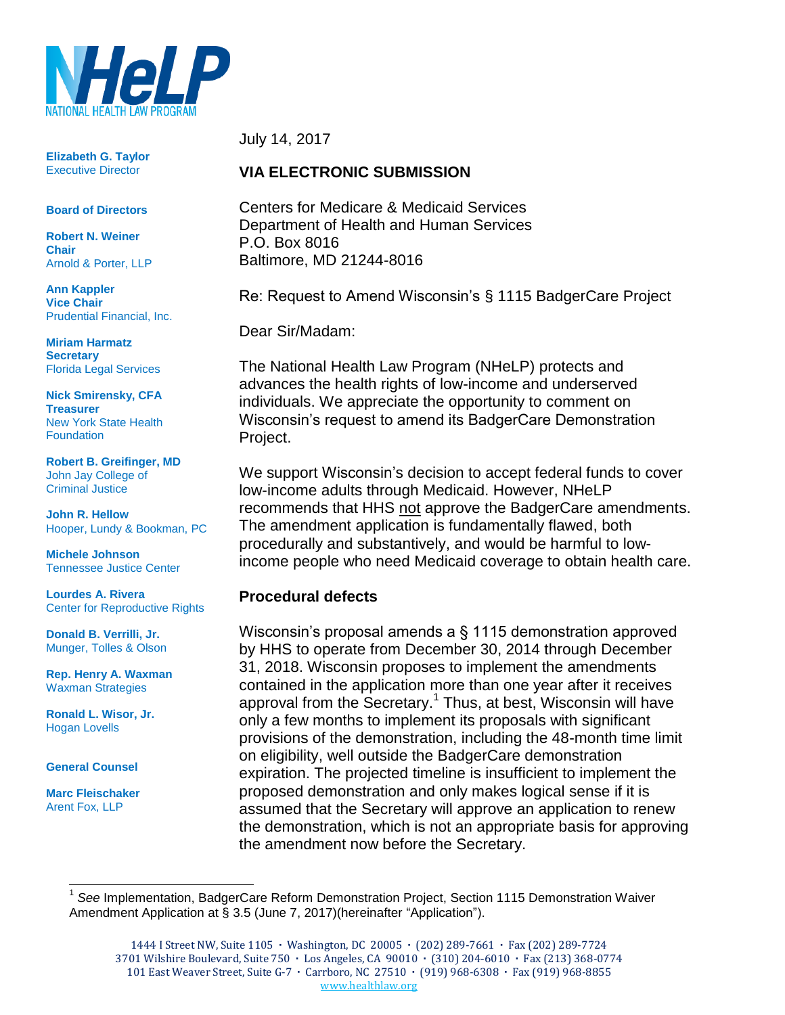

**Elizabeth G. Taylor** Executive Director

#### **Board of Directors**

**Robert N. Weiner Chair** Arnold & Porter, LLP

**Ann Kappler Vice Chair** Prudential Financial, Inc.

**Miriam Harmatz Secretary** Florida Legal Services

**Nick Smirensky, CFA Treasurer** New York State Health **Foundation** 

**Robert B. Greifinger, MD** John Jay College of Criminal Justice

**John R. Hellow** Hooper, Lundy & Bookman, PC

**Michele Johnson** Tennessee Justice Center

**Lourdes A. Rivera** Center for Reproductive Rights

**Donald B. Verrilli, Jr.**  Munger, Tolles & Olson

**Rep. Henry A. Waxman** Waxman Strategies

**Ronald L. Wisor, Jr.** Hogan Lovells

#### **General Counsel**

**Marc Fleischaker** Arent Fox, LLP

l

July 14, 2017

#### **VIA ELECTRONIC SUBMISSION**

Centers for Medicare & Medicaid Services Department of Health and Human Services P.O. Box 8016 Baltimore, MD 21244-8016

Re: Request to Amend Wisconsin's § 1115 BadgerCare Project

Dear Sir/Madam:

The National Health Law Program (NHeLP) protects and advances the health rights of low-income and underserved individuals. We appreciate the opportunity to comment on Wisconsin's request to amend its BadgerCare Demonstration Project.

We support Wisconsin's decision to accept federal funds to cover low-income adults through Medicaid. However, NHeLP recommends that HHS not approve the BadgerCare amendments. The amendment application is fundamentally flawed, both procedurally and substantively, and would be harmful to lowincome people who need Medicaid coverage to obtain health care.

#### **Procedural defects**

Wisconsin's proposal amends a § 1115 demonstration approved by HHS to operate from December 30, 2014 through December 31, 2018. Wisconsin proposes to implement the amendments contained in the application more than one year after it receives approval from the Secretary.<sup>1</sup> Thus, at best, Wisconsin will have only a few months to implement its proposals with significant provisions of the demonstration, including the 48-month time limit on eligibility, well outside the BadgerCare demonstration expiration. The projected timeline is insufficient to implement the proposed demonstration and only makes logical sense if it is assumed that the Secretary will approve an application to renew the demonstration, which is not an appropriate basis for approving the amendment now before the Secretary.

<sup>1</sup> *See* Implementation, BadgerCare Reform Demonstration Project, Section 1115 Demonstration Waiver Amendment Application at § 3.5 (June 7, 2017)(hereinafter "Application").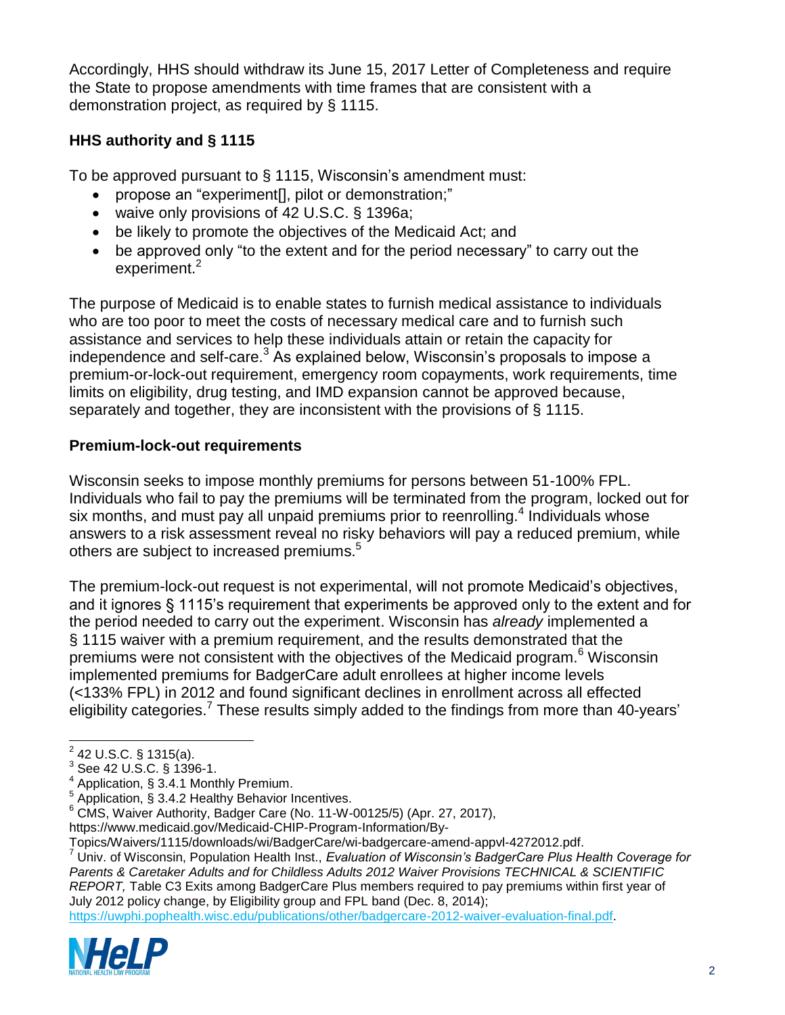Accordingly, HHS should withdraw its June 15, 2017 Letter of Completeness and require the State to propose amendments with time frames that are consistent with a demonstration project, as required by § 1115.

# **HHS authority and § 1115**

To be approved pursuant to § 1115, Wisconsin's amendment must:

- propose an "experiment[], pilot or demonstration;"
- waive only provisions of 42 U.S.C. § 1396a;
- be likely to promote the objectives of the Medicaid Act; and
- be approved only "to the extent and for the period necessary" to carry out the experiment.<sup>2</sup>

The purpose of Medicaid is to enable states to furnish medical assistance to individuals who are too poor to meet the costs of necessary medical care and to furnish such assistance and services to help these individuals attain or retain the capacity for independence and self-care.<sup>3</sup> As explained below, Wisconsin's proposals to impose a premium-or-lock-out requirement, emergency room copayments, work requirements, time limits on eligibility, drug testing, and IMD expansion cannot be approved because, separately and together, they are inconsistent with the provisions of § 1115.

## **Premium-lock-out requirements**

Wisconsin seeks to impose monthly premiums for persons between 51-100% FPL. Individuals who fail to pay the premiums will be terminated from the program, locked out for six months, and must pay all unpaid premiums prior to reenrolling.<sup>4</sup> Individuals whose answers to a risk assessment reveal no risky behaviors will pay a reduced premium, while others are subject to increased premiums.<sup>5</sup>

The premium-lock-out request is not experimental, will not promote Medicaid's objectives, and it ignores § 1115's requirement that experiments be approved only to the extent and for the period needed to carry out the experiment. Wisconsin has *already* implemented a § 1115 waiver with a premium requirement, and the results demonstrated that the premiums were not consistent with the objectives of the Medicaid program.<sup>6</sup> Wisconsin implemented premiums for BadgerCare adult enrollees at higher income levels (<133% FPL) in 2012 and found significant declines in enrollment across all effected eligibility categories.<sup>7</sup> These results simply added to the findings from more than 40-years'

[https://uwphi.pophealth.wisc.edu/publications/other/badgercare-2012-waiver-evaluation-final.pdf.](https://uwphi.pophealth.wisc.edu/publications/other/badgercare-2012-waiver-evaluation-final.pdf)



 2 42 U.S.C. § 1315(a).

<sup>3</sup> See 42 U.S.C. § 1396-1.

<sup>4</sup> Application, § 3.4.1 Monthly Premium.

 $5$  Application, § 3.4.2 Healthy Behavior Incentives.

<sup>6</sup> CMS, Waiver Authority, Badger Care (No. 11-W-00125/5) (Apr. 27, 2017),

https://www.medicaid.gov/Medicaid-CHIP-Program-Information/By-

Topics/Waivers/1115/downloads/wi/BadgerCare/wi-badgercare-amend-appvl-4272012.pdf.

<sup>7</sup> Univ. of Wisconsin, Population Health Inst., *Evaluation of Wisconsin's BadgerCare Plus Health Coverage for Parents & Caretaker Adults and for Childless Adults 2012 Waiver Provisions TECHNICAL & SCIENTIFIC REPORT,* Table C3 Exits among BadgerCare Plus members required to pay premiums within first year of July 2012 policy change, by Eligibility group and FPL band (Dec. 8, 2014);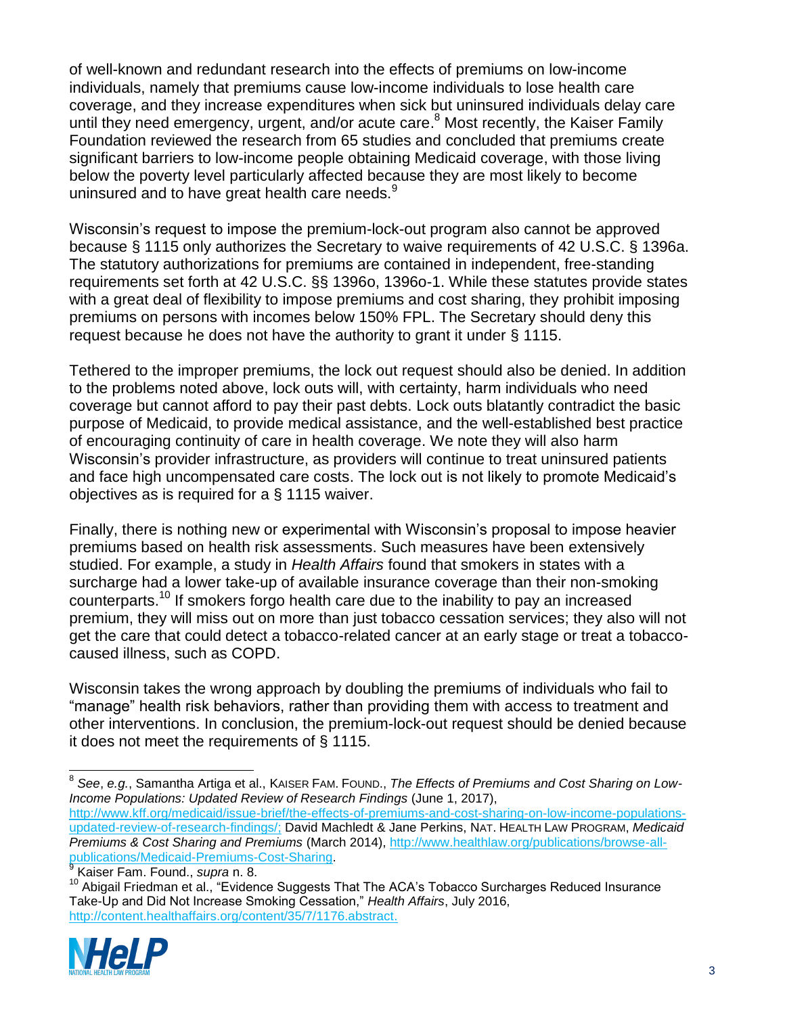of well-known and redundant research into the effects of premiums on low-income individuals, namely that premiums cause low-income individuals to lose health care coverage, and they increase expenditures when sick but uninsured individuals delay care until they need emergency, urgent, and/or acute care.<sup>8</sup> Most recently, the Kaiser Family Foundation reviewed the research from 65 studies and concluded that premiums create significant barriers to low-income people obtaining Medicaid coverage, with those living below the poverty level particularly affected because they are most likely to become uninsured and to have great health care needs.<sup>9</sup>

Wisconsin's request to impose the premium-lock-out program also cannot be approved because § 1115 only authorizes the Secretary to waive requirements of 42 U.S.C. § 1396a. The statutory authorizations for premiums are contained in independent, free-standing requirements set forth at 42 U.S.C. §§ 1396o, 1396o-1. While these statutes provide states with a great deal of flexibility to impose premiums and cost sharing, they prohibit imposing premiums on persons with incomes below 150% FPL. The Secretary should deny this request because he does not have the authority to grant it under § 1115.

Tethered to the improper premiums, the lock out request should also be denied. In addition to the problems noted above, lock outs will, with certainty, harm individuals who need coverage but cannot afford to pay their past debts. Lock outs blatantly contradict the basic purpose of Medicaid, to provide medical assistance, and the well-established best practice of encouraging continuity of care in health coverage. We note they will also harm Wisconsin's provider infrastructure, as providers will continue to treat uninsured patients and face high uncompensated care costs. The lock out is not likely to promote Medicaid's objectives as is required for a § 1115 waiver.

Finally, there is nothing new or experimental with Wisconsin's proposal to impose heavier premiums based on health risk assessments. Such measures have been extensively studied. For example, a study in *Health Affairs* found that smokers in states with a surcharge had a lower take-up of available insurance coverage than their non-smoking counterparts.<sup>10</sup> If smokers forgo health care due to the inability to pay an increased premium, they will miss out on more than just tobacco cessation services; they also will not get the care that could detect a tobacco-related cancer at an early stage or treat a tobaccocaused illness, such as COPD.

Wisconsin takes the wrong approach by doubling the premiums of individuals who fail to "manage" health risk behaviors, rather than providing them with access to treatment and other interventions. In conclusion, the premium-lock-out request should be denied because it does not meet the requirements of § 1115.

<sup>10</sup> Abigail Friedman et al., "Evidence Suggests That The ACA's Tobacco Surcharges Reduced Insurance Take-Up and Did Not Increase Smoking Cessation," *Health Affairs*, July 2016, [http://content.healthaffairs.org/content/35/7/1176.abstract.](http://content.healthaffairs.org/content/35/7/1176.abstract)



 $\overline{a}$ 8 *See*, *e.g.*, Samantha Artiga et al., KAISER FAM. FOUND., *The Effects of Premiums and Cost Sharing on Low-Income Populations: Updated Review of Research Findings* (June 1, 2017),

[http://www.kff.org/medicaid/issue-brief/the-effects-of-premiums-and-cost-sharing-on-low-income-populations](http://www.kff.org/medicaid/issue-brief/the-effects-of-premiums-and-cost-sharing-on-low-income-populations-updated-review-of-research-findings/)[updated-review-of-research-findings/;](http://www.kff.org/medicaid/issue-brief/the-effects-of-premiums-and-cost-sharing-on-low-income-populations-updated-review-of-research-findings/) David Machledt & Jane Perkins, NAT. HEALTH LAW PROGRAM, *Medicaid Premiums & Cost Sharing and Premiums* (March 2014), [http://www.healthlaw.org/publications/browse-all](http://www.healthlaw.org/publications/browse-all-publications/Medicaid-Premiums-Cost-Sharing)[publications/Medicaid-Premiums-Cost-Sharing.](http://www.healthlaw.org/publications/browse-all-publications/Medicaid-Premiums-Cost-Sharing) 9 Kaiser Fam. Found., *supra* n. 8.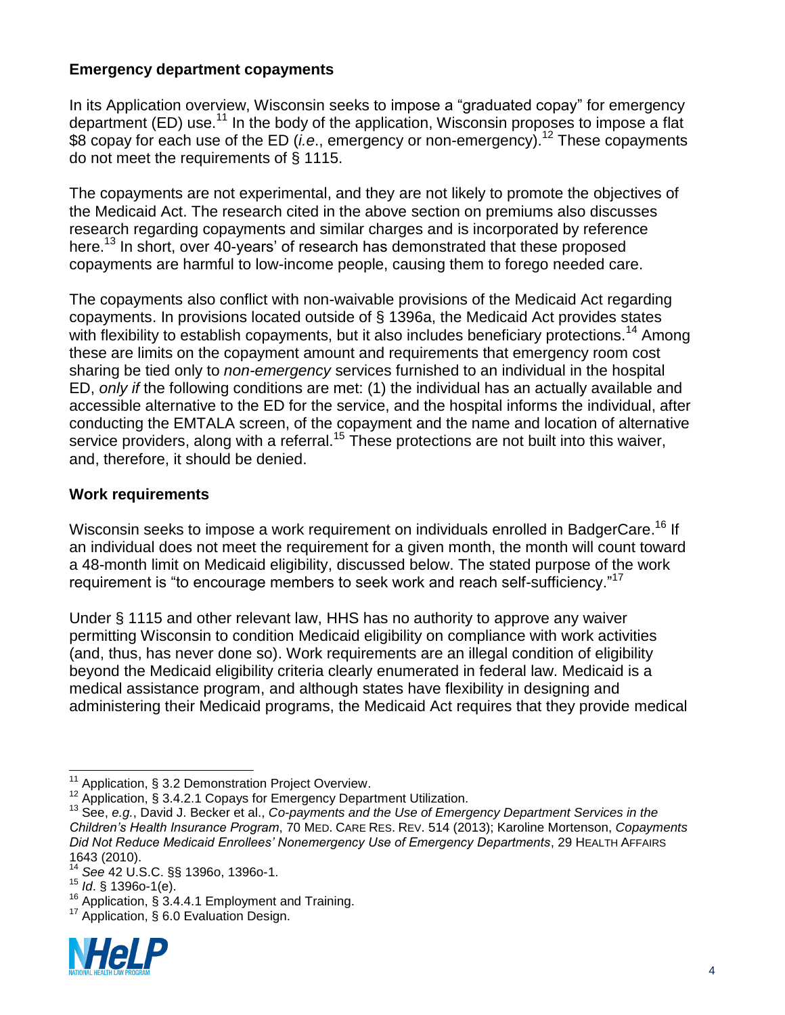## **Emergency department copayments**

In its Application overview, Wisconsin seeks to impose a "graduated copay" for emergency department (ED) use.<sup>11</sup> In the body of the application, Wisconsin proposes to impose a flat \$8 copay for each use of the ED (*i.e.*, emergency or non-emergency).<sup>12</sup> These copayments do not meet the requirements of § 1115.

The copayments are not experimental, and they are not likely to promote the objectives of the Medicaid Act. The research cited in the above section on premiums also discusses research regarding copayments and similar charges and is incorporated by reference here.<sup>13</sup> In short, over 40-years' of research has demonstrated that these proposed copayments are harmful to low-income people, causing them to forego needed care.

The copayments also conflict with non-waivable provisions of the Medicaid Act regarding copayments. In provisions located outside of § 1396a, the Medicaid Act provides states with flexibility to establish copayments, but it also includes beneficiary protections.<sup>14</sup> Among these are limits on the copayment amount and requirements that emergency room cost sharing be tied only to *non-emergency* services furnished to an individual in the hospital ED, *only if* the following conditions are met: (1) the individual has an actually available and accessible alternative to the ED for the service, and the hospital informs the individual, after conducting the EMTALA screen, of the copayment and the name and location of alternative service providers, along with a referral.<sup>15</sup> These protections are not built into this waiver, and, therefore, it should be denied.

#### **Work requirements**

Wisconsin seeks to impose a work requirement on individuals enrolled in BadgerCare.<sup>16</sup> If an individual does not meet the requirement for a given month, the month will count toward a 48-month limit on Medicaid eligibility, discussed below. The stated purpose of the work requirement is "to encourage members to seek work and reach self-sufficiency."<sup>17</sup>

Under § 1115 and other relevant law, HHS has no authority to approve any waiver permitting Wisconsin to condition Medicaid eligibility on compliance with work activities (and, thus, has never done so). Work requirements are an illegal condition of eligibility beyond the Medicaid eligibility criteria clearly enumerated in federal law. Medicaid is a medical assistance program, and although states have flexibility in designing and administering their Medicaid programs, the Medicaid Act requires that they provide medical

<sup>&</sup>lt;sup>17</sup> Application, § 6.0 Evaluation Design.



l  $11$  Application, § 3.2 Demonstration Project Overview.

 $12$  Application, § 3.4.2.1 Copays for Emergency Department Utilization.

<sup>13</sup> See, *e.g.*, David J. Becker et al., *Co-payments and the Use of Emergency Department Services in the Children's Health Insurance Program*, 70 MED. CARE RES. REV. 514 (2013); Karoline Mortenson, *Copayments Did Not Reduce Medicaid Enrollees' Nonemergency Use of Emergency Departments*, 29 HEALTH AFFAIRS 1643 (2010).

<sup>14</sup> *See* 42 U.S.C. §§ 1396o, 1396o-1.

<sup>15</sup> *Id*. § 1396o-1(e).

<sup>&</sup>lt;sup>16</sup> Application, § 3.4.4.1 Employment and Training.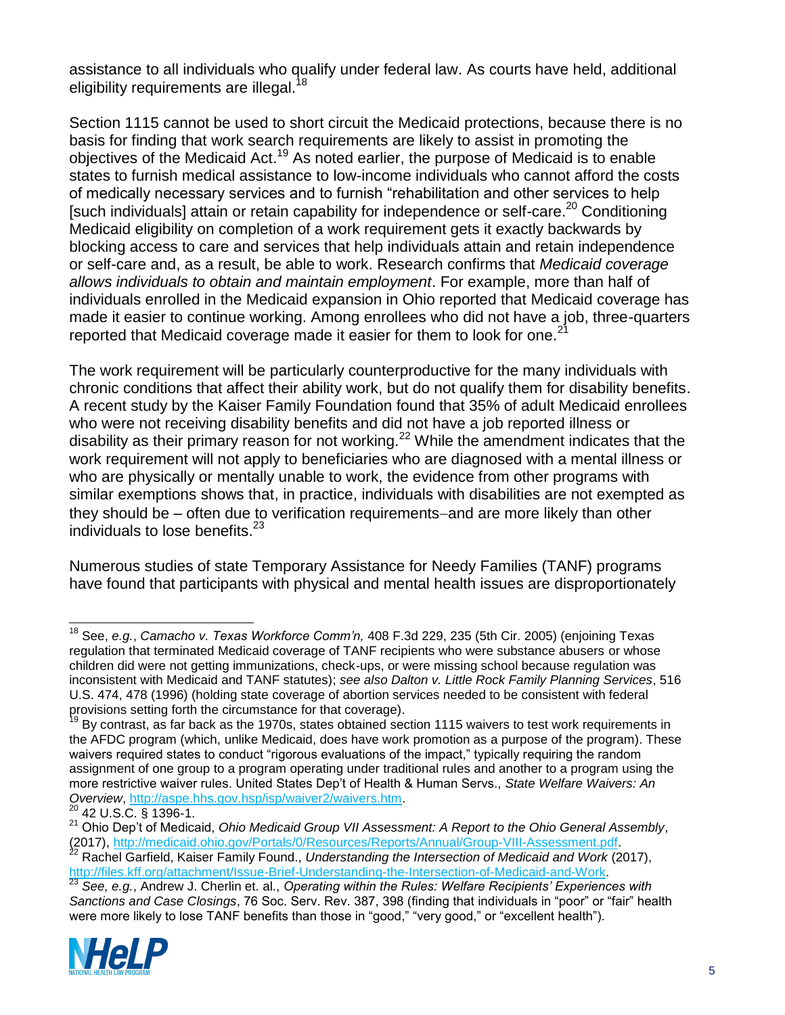assistance to all individuals who qualify under federal law. As courts have held, additional eligibility requirements are illegal.<sup>18</sup>

Section 1115 cannot be used to short circuit the Medicaid protections, because there is no basis for finding that work search requirements are likely to assist in promoting the objectives of the Medicaid Act.<sup>19</sup> As noted earlier, the purpose of Medicaid is to enable states to furnish medical assistance to low-income individuals who cannot afford the costs of medically necessary services and to furnish "rehabilitation and other services to help [such individuals] attain or retain capability for independence or self-care.<sup>20</sup> Conditioning Medicaid eligibility on completion of a work requirement gets it exactly backwards by blocking access to care and services that help individuals attain and retain independence or self-care and, as a result, be able to work. Research confirms that *Medicaid coverage allows individuals to obtain and maintain employment*. For example, more than half of individuals enrolled in the Medicaid expansion in Ohio reported that Medicaid coverage has made it easier to continue working. Among enrollees who did not have a job, three-quarters reported that Medicaid coverage made it easier for them to look for one.<sup>21</sup>

The work requirement will be particularly counterproductive for the many individuals with chronic conditions that affect their ability work, but do not qualify them for disability benefits. A recent study by the Kaiser Family Foundation found that 35% of adult Medicaid enrollees who were not receiving disability benefits and did not have a job reported illness or disability as their primary reason for not working.<sup>22</sup> While the amendment indicates that the work requirement will not apply to beneficiaries who are diagnosed with a mental illness or who are physically or mentally unable to work, the evidence from other programs with similar exemptions shows that, in practice, individuals with disabilities are not exempted as they should be – often due to verification requirements–and are more likely than other individuals to lose benefits. $^{23}$ 

Numerous studies of state Temporary Assistance for Needy Families (TANF) programs have found that participants with physical and mental health issues are disproportionately

<sup>23</sup> *See, e.g.*, Andrew J. Cherlin et. al., *Operating within the Rules: Welfare Recipients' Experiences with Sanctions and Case Closings*, 76 Soc. Serv. Rev. 387, 398 (finding that individuals in "poor" or "fair" health were more likely to lose TANF benefits than those in "good," "very good," or "excellent health").



l <sup>18</sup> See, *e.g.*, *Camacho v. Texas Workforce Comm'n,* 408 F.3d 229, 235 (5th Cir. 2005) (enjoining Texas regulation that terminated Medicaid coverage of TANF recipients who were substance abusers or whose children did were not getting immunizations, check-ups, or were missing school because regulation was inconsistent with Medicaid and TANF statutes); *see also Dalton v. Little Rock Family Planning Services*, 516 U.S. 474, 478 (1996) (holding state coverage of abortion services needed to be consistent with federal provisions setting forth the circumstance for that coverage).

 $\frac{19}{19}$  Bv contrast, as far back as the 1970s, states obtained section 1115 waivers to test work requirements in the AFDC program (which, unlike Medicaid, does have work promotion as a purpose of the program). These waivers required states to conduct "rigorous evaluations of the impact," typically requiring the random assignment of one group to a program operating under traditional rules and another to a program using the more restrictive waiver rules. United States Dep't of Health & Human Servs., *State Welfare Waivers: An Overview*, [http://aspe.hhs.gov.hsp/isp/waiver2/waivers.htm.](http://aspe.hhs.gov.hsp/isp/waiver2/waivers.htm)

<sup>20</sup> 42 U.S.C. § 1396-1.

<sup>21</sup> Ohio Dep't of Medicaid, *Ohio Medicaid Group VII Assessment: A Report to the Ohio General Assembly*, (2017), [http://medicaid.ohio.gov/Portals/0/Resources/Reports/Annual/Group-VIII-Assessment.pdf.](http://medicaid.ohio.gov/Portals/0/Resources/Reports/Annual/Group-VIII-Assessment.pdf)

<sup>22</sup> Rachel Garfield, Kaiser Family Found., *Understanding the Intersection of Medicaid and Work* (2017), [http://files.kff.org/attachment/Issue-Brief-Understanding-the-Intersection-of-Medicaid-and-Work.](http://files.kff.org/attachment/Issue-Brief-Understanding-the-Intersection-of-Medicaid-and-Work)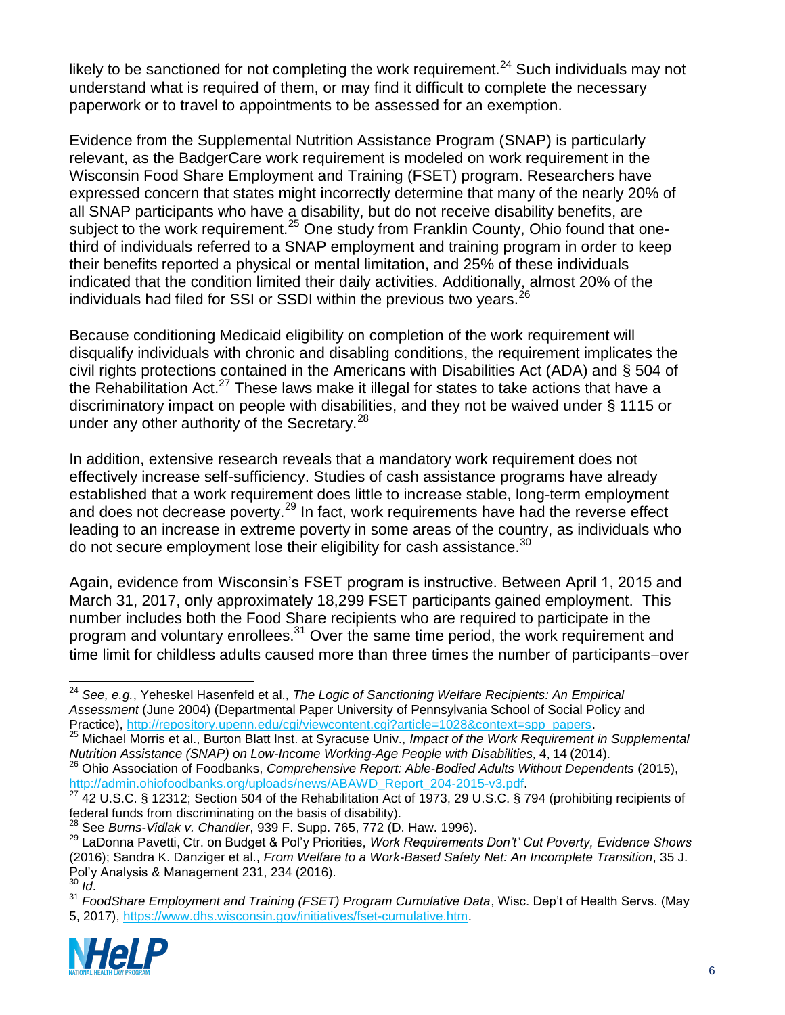likely to be sanctioned for not completing the work requirement.<sup>24</sup> Such individuals may not understand what is required of them, or may find it difficult to complete the necessary paperwork or to travel to appointments to be assessed for an exemption.

Evidence from the Supplemental Nutrition Assistance Program (SNAP) is particularly relevant, as the BadgerCare work requirement is modeled on work requirement in the Wisconsin Food Share Employment and Training (FSET) program. Researchers have expressed concern that states might incorrectly determine that many of the nearly 20% of all SNAP participants who have a disability, but do not receive disability benefits, are subject to the work requirement.<sup>25</sup> One study from Franklin County, Ohio found that onethird of individuals referred to a SNAP employment and training program in order to keep their benefits reported a physical or mental limitation, and 25% of these individuals indicated that the condition limited their daily activities. Additionally, almost 20% of the individuals had filed for SSI or SSDI within the previous two years. $^{26}$ 

Because conditioning Medicaid eligibility on completion of the work requirement will disqualify individuals with chronic and disabling conditions, the requirement implicates the civil rights protections contained in the Americans with Disabilities Act (ADA) and § 504 of the Rehabilitation Act. $27$  These laws make it illegal for states to take actions that have a discriminatory impact on people with disabilities, and they not be waived under § 1115 or under any other authority of the Secretary.<sup>28</sup>

In addition, extensive research reveals that a mandatory work requirement does not effectively increase self-sufficiency. Studies of cash assistance programs have already established that a work requirement does little to increase stable, long-term employment and does not decrease poverty.<sup>29</sup> In fact, work requirements have had the reverse effect leading to an increase in extreme poverty in some areas of the country, as individuals who do not secure employment lose their eligibility for cash assistance. $30$ 

Again, evidence from Wisconsin's FSET program is instructive. Between April 1, 2015 and March 31, 2017, only approximately 18,299 FSET participants gained employment. This number includes both the Food Share recipients who are required to participate in the program and voluntary enrollees. $31$  Over the same time period, the work requirement and time limit for childless adults caused more than three times the number of participants-over

<sup>31</sup> *FoodShare Employment and Training (FSET) Program Cumulative Data*, Wisc. Dep't of Health Servs. (May 5, 2017), [https://www.dhs.wisconsin.gov/initiatives/fset-cumulative.htm.](https://www.dhs.wisconsin.gov/initiatives/fset-cumulative.htm)



 $\overline{a}$ <sup>24</sup> *See, e.g.*, Yeheskel Hasenfeld et al., *The Logic of Sanctioning Welfare Recipients: An Empirical Assessment* (June 2004) (Departmental Paper University of Pennsylvania School of Social Policy and Practice), [http://repository.upenn.edu/cgi/viewcontent.cgi?article=1028&context=spp\\_papers.](http://repository.upenn.edu/cgi/viewcontent.cgi?article=1028&context=spp_papers)

<sup>25</sup> Michael Morris et al., Burton Blatt Inst. at Syracuse Univ., *Impact of the Work Requirement in Supplemental Nutrition Assistance (SNAP) on Low-Income Working-Age People with Disabilities,* 4, 14 (2014).

<sup>26</sup> Ohio Association of Foodbanks, *Comprehensive Report: Able-Bodied Adults Without Dependents* (2015), [http://admin.ohiofoodbanks.org/uploads/news/ABAWD\\_Report\\_204-2015-v3.pdf.](http://admin.ohiofoodbanks.org/uploads/news/ABAWD_Report_204-2015-v3.pdf)

 $^{27}$  42 U.S.C. § 12312; Section 504 of the Rehabilitation Act of 1973, 29 U.S.C. § 794 (prohibiting recipients of federal funds from discriminating on the basis of disability).

<sup>28</sup> See *Burns-Vidlak v. Chandler*, 939 F. Supp. 765, 772 (D. Haw. 1996).

<sup>29</sup> LaDonna Pavetti, Ctr. on Budget & Pol'y Priorities, *Work Requirements Don't' Cut Poverty, Evidence Shows* (2016); Sandra K. Danziger et al., *From Welfare to a Work-Based Safety Net: An Incomplete Transition*, 35 J. Pol'y Analysis & Management 231, 234 (2016). <sup>30</sup> *Id*.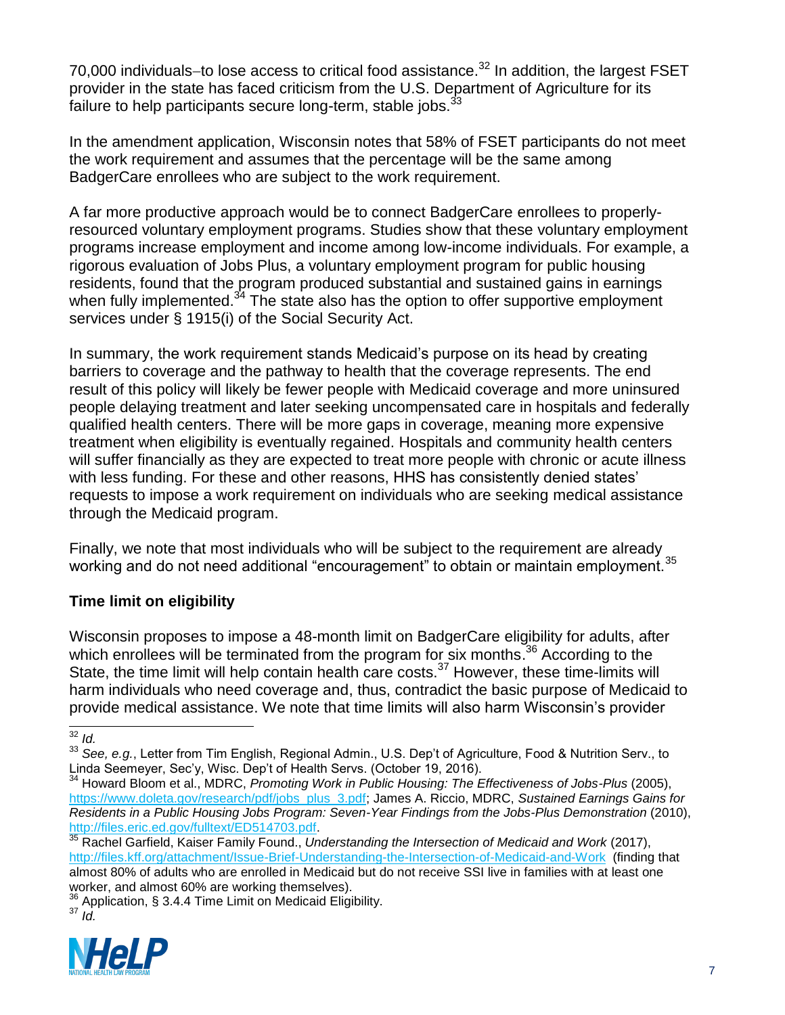70,000 individuals-to lose access to critical food assistance.<sup>32</sup> In addition, the largest FSET provider in the state has faced criticism from the U.S. Department of Agriculture for its failure to help participants secure long-term, stable jobs.  $33$ 

In the amendment application, Wisconsin notes that 58% of FSET participants do not meet the work requirement and assumes that the percentage will be the same among BadgerCare enrollees who are subject to the work requirement.

A far more productive approach would be to connect BadgerCare enrollees to properlyresourced voluntary employment programs. Studies show that these voluntary employment programs increase employment and income among low-income individuals. For example, a rigorous evaluation of Jobs Plus, a voluntary employment program for public housing residents, found that the program produced substantial and sustained gains in earnings when fully implemented.<sup>34</sup> The state also has the option to offer supportive employment services under § 1915(i) of the Social Security Act.

In summary, the work requirement stands Medicaid's purpose on its head by creating barriers to coverage and the pathway to health that the coverage represents. The end result of this policy will likely be fewer people with Medicaid coverage and more uninsured people delaying treatment and later seeking uncompensated care in hospitals and federally qualified health centers. There will be more gaps in coverage, meaning more expensive treatment when eligibility is eventually regained. Hospitals and community health centers will suffer financially as they are expected to treat more people with chronic or acute illness with less funding. For these and other reasons, HHS has consistently denied states' requests to impose a work requirement on individuals who are seeking medical assistance through the Medicaid program.

Finally, we note that most individuals who will be subject to the requirement are already working and do not need additional "encouragement" to obtain or maintain employment.<sup>35</sup>

## **Time limit on eligibility**

Wisconsin proposes to impose a 48-month limit on BadgerCare eligibility for adults, after which enrollees will be terminated from the program for six months.<sup>36</sup> According to the State, the time limit will help contain health care costs. $37$  However, these time-limits will harm individuals who need coverage and, thus, contradict the basic purpose of Medicaid to provide medical assistance. We note that time limits will also harm Wisconsin's provider

 $36$  Application, § 3.4.4 Time Limit on Medicaid Eligibility. <sup>37</sup> *Id.*



l <sup>32</sup> *Id.*

<sup>33</sup> *See, e.g.*, Letter from Tim English, Regional Admin., U.S. Dep't of Agriculture, Food & Nutrition Serv., to Linda Seemeyer, Sec'y, Wisc. Dep't of Health Servs. (October 19, 2016).

<sup>34</sup> Howard Bloom et al., MDRC, *Promoting Work in Public Housing: The Effectiveness of Jobs-Plus* (2005), [https://www.doleta.gov/research/pdf/jobs\\_plus\\_3.pdf;](https://www.doleta.gov/research/pdf/jobs_plus_3.pdf) James A. Riccio, MDRC, *Sustained Earnings Gains for Residents in a Public Housing Jobs Program: Seven-Year Findings from the Jobs-Plus Demonstration (2010),* [http://files.eric.ed.gov/fulltext/ED514703.pdf.](http://files.eric.ed.gov/fulltext/ED514703.pdf)

<sup>35</sup> Rachel Garfield, Kaiser Family Found., *Understanding the Intersection of Medicaid and Work* (2017), <http://files.kff.org/attachment/Issue-Brief-Understanding-the-Intersection-of-Medicaid-and-Work>(finding that almost 80% of adults who are enrolled in Medicaid but do not receive SSI live in families with at least one worker, and almost 60% are working themselves).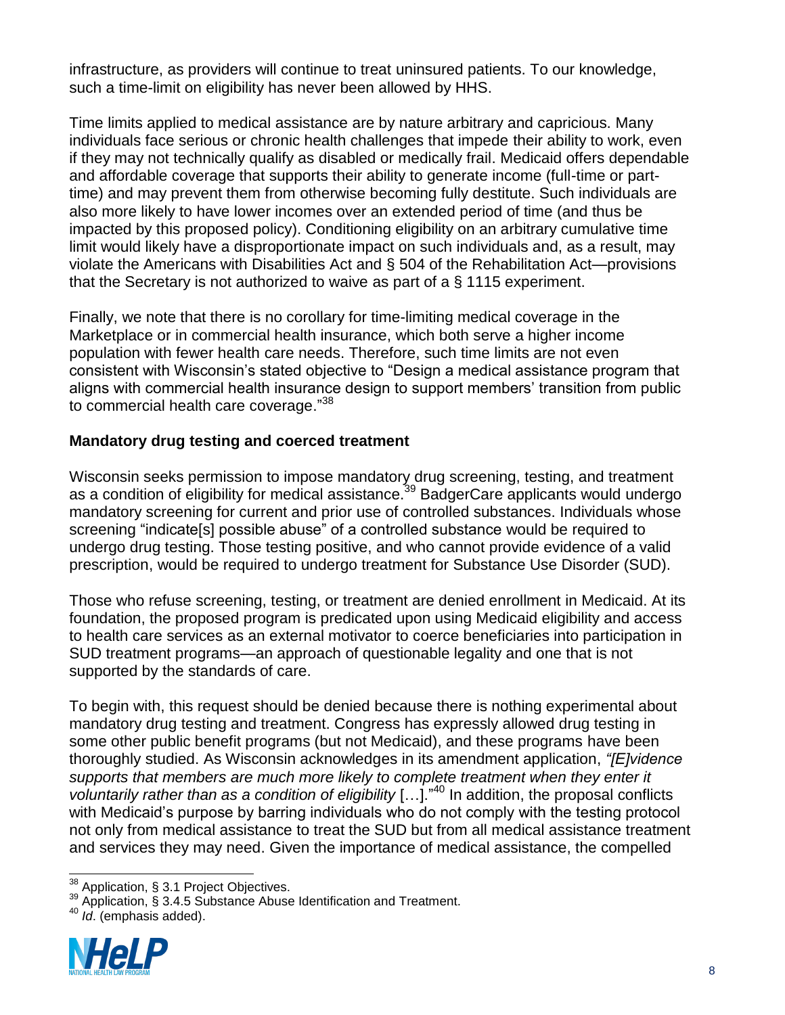infrastructure, as providers will continue to treat uninsured patients. To our knowledge, such a time-limit on eligibility has never been allowed by HHS.

Time limits applied to medical assistance are by nature arbitrary and capricious. Many individuals face serious or chronic health challenges that impede their ability to work, even if they may not technically qualify as disabled or medically frail. Medicaid offers dependable and affordable coverage that supports their ability to generate income (full-time or parttime) and may prevent them from otherwise becoming fully destitute. Such individuals are also more likely to have lower incomes over an extended period of time (and thus be impacted by this proposed policy). Conditioning eligibility on an arbitrary cumulative time limit would likely have a disproportionate impact on such individuals and, as a result, may violate the Americans with Disabilities Act and § 504 of the Rehabilitation Act—provisions that the Secretary is not authorized to waive as part of a § 1115 experiment.

Finally, we note that there is no corollary for time-limiting medical coverage in the Marketplace or in commercial health insurance, which both serve a higher income population with fewer health care needs. Therefore, such time limits are not even consistent with Wisconsin's stated objective to "Design a medical assistance program that aligns with commercial health insurance design to support members' transition from public to commercial health care coverage."<sup>38</sup>

#### **Mandatory drug testing and coerced treatment**

Wisconsin seeks permission to impose mandatory drug screening, testing, and treatment as a condition of eligibility for medical assistance.<sup>39</sup> BadgerCare applicants would undergo mandatory screening for current and prior use of controlled substances. Individuals whose screening "indicate[s] possible abuse" of a controlled substance would be required to undergo drug testing. Those testing positive, and who cannot provide evidence of a valid prescription, would be required to undergo treatment for Substance Use Disorder (SUD).

Those who refuse screening, testing, or treatment are denied enrollment in Medicaid. At its foundation, the proposed program is predicated upon using Medicaid eligibility and access to health care services as an external motivator to coerce beneficiaries into participation in SUD treatment programs—an approach of questionable legality and one that is not supported by the standards of care.

To begin with, this request should be denied because there is nothing experimental about mandatory drug testing and treatment. Congress has expressly allowed drug testing in some other public benefit programs (but not Medicaid), and these programs have been thoroughly studied. As Wisconsin acknowledges in its amendment application, *"[E]vidence supports that members are much more likely to complete treatment when they enter it voluntarily rather than as a condition of eligibility* […]."<sup>40</sup> In addition, the proposal conflicts with Medicaid's purpose by barring individuals who do not comply with the testing protocol not only from medical assistance to treat the SUD but from all medical assistance treatment and services they may need. Given the importance of medical assistance, the compelled

<sup>40</sup> *Id*. (emphasis added).



l  $38$  Application, § 3.1 Project Objectives.

<sup>39</sup> Application, § 3.4.5 Substance Abuse Identification and Treatment.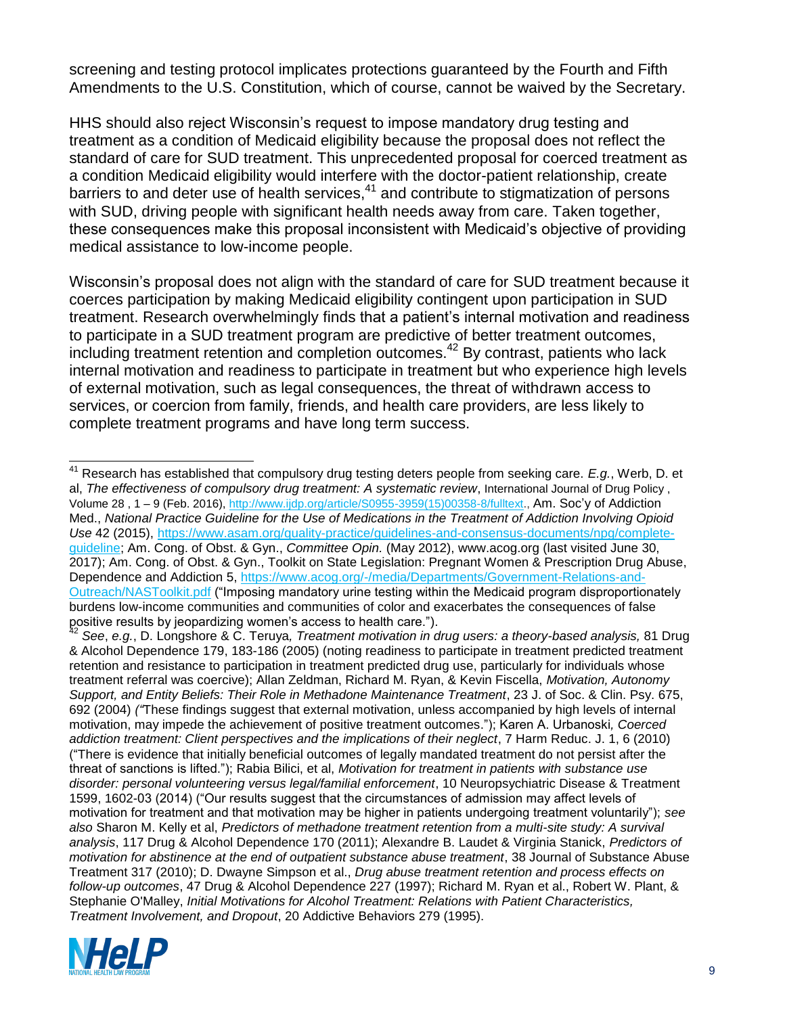screening and testing protocol implicates protections guaranteed by the Fourth and Fifth Amendments to the U.S. Constitution, which of course, cannot be waived by the Secretary.

HHS should also reject Wisconsin's request to impose mandatory drug testing and treatment as a condition of Medicaid eligibility because the proposal does not reflect the standard of care for SUD treatment. This unprecedented proposal for coerced treatment as a condition Medicaid eligibility would interfere with the doctor-patient relationship, create barriers to and deter use of health services,<sup>41</sup> and contribute to stigmatization of persons with SUD, driving people with significant health needs away from care. Taken together, these consequences make this proposal inconsistent with Medicaid's objective of providing medical assistance to low-income people.

Wisconsin's proposal does not align with the standard of care for SUD treatment because it coerces participation by making Medicaid eligibility contingent upon participation in SUD treatment. Research overwhelmingly finds that a patient's internal motivation and readiness to participate in a SUD treatment program are predictive of better treatment outcomes, including treatment retention and completion outcomes.<sup>42</sup> By contrast, patients who lack internal motivation and readiness to participate in treatment but who experience high levels of external motivation, such as legal consequences, the threat of withdrawn access to services, or coercion from family, friends, and health care providers, are less likely to complete treatment programs and have long term success.

<sup>42</sup> *See*, *e.g.*, D. Longshore & C. Teruya*, Treatment motivation in drug users: a theory-based analysis,* 81 Drug & Alcohol Dependence 179, 183-186 (2005) (noting readiness to participate in treatment predicted treatment retention and resistance to participation in treatment predicted drug use, particularly for individuals whose treatment referral was coercive); Allan Zeldman, Richard M. Ryan, & Kevin Fiscella, *Motivation, Autonomy Support, and Entity Beliefs: Their Role in Methadone Maintenance Treatment*, 23 J. of Soc. & Clin. Psy. 675, 692 (2004) *("*These findings suggest that external motivation, unless accompanied by high levels of internal motivation, may impede the achievement of positive treatment outcomes."); Karen A. Urbanoski*, Coerced addiction treatment: Client perspectives and the implications of their neglect*, 7 Harm Reduc. J. 1, 6 (2010) ("There is evidence that initially beneficial outcomes of legally mandated treatment do not persist after the threat of sanctions is lifted."); Rabia Bilici, et al, *Motivation for treatment in patients with substance use disorder: personal volunteering versus legal/familial enforcement*, 10 Neuropsychiatric Disease & Treatment 1599, 1602-03 (2014) ("Our results suggest that the circumstances of admission may affect levels of motivation for treatment and that motivation may be higher in patients undergoing treatment voluntarily"); *see also* Sharon M. Kelly et al, *Predictors of methadone treatment retention from a multi-site study: A survival analysis*, 117 Drug & Alcohol Dependence 170 (2011); Alexandre B. Laudet & Virginia Stanick, *Predictors of motivation for abstinence at the end of outpatient substance abuse treatment*, 38 Journal of Substance Abuse Treatment 317 (2010); D. Dwayne Simpson et al., *Drug abuse treatment retention and process effects on follow-up outcomes*, 47 Drug & Alcohol Dependence 227 (1997); Richard M. Ryan et al., Robert W. Plant, & Stephanie O'Malley, *Initial Motivations for Alcohol Treatment: Relations with Patient Characteristics, Treatment Involvement, and Dropout*, 20 Addictive Behaviors 279 (1995).



l <sup>41</sup> Research has established that compulsory drug testing deters people from seeking care. *E.g.*, Werb, D. et al, *The effectiveness of compulsory drug treatment: A systematic review*, International Journal of Drug Policy , Volume 28 , 1 – 9 (Feb. 2016), [http://www.ijdp.org/article/S0955-3959\(15\)00358-8/fulltext.,](http://www.ijdp.org/article/S0955-3959(15)00358-8/fulltext) Am. Soc'y of Addiction Med., *National Practice Guideline for the Use of Medications in the Treatment of Addiction Involving Opioid Use* 42 (2015), [https://www.asam.org/quality-practice/guidelines-and-consensus-documents/npg/complete](https://www.asam.org/quality-practice/guidelines-and-consensus-documents/npg/complete-guideline)[guideline;](https://www.asam.org/quality-practice/guidelines-and-consensus-documents/npg/complete-guideline) Am. Cong. of Obst. & Gyn., *Committee Opin.* (May 2012), www.acog.org (last visited June 30, 2017); Am. Cong. of Obst. & Gyn., Toolkit on State Legislation: Pregnant Women & Prescription Drug Abuse, Dependence and Addiction 5, [https://www.acog.org/-/media/Departments/Government-Relations-and-](https://www.acog.org/-/media/Departments/Government-Relations-and-Outreach/NASToolkit.pdf)[Outreach/NASToolkit.pdf](https://www.acog.org/-/media/Departments/Government-Relations-and-Outreach/NASToolkit.pdf) ("Imposing mandatory urine testing within the Medicaid program disproportionately burdens low-income communities and communities of color and exacerbates the consequences of false positive results by jeopardizing women's access to health care.").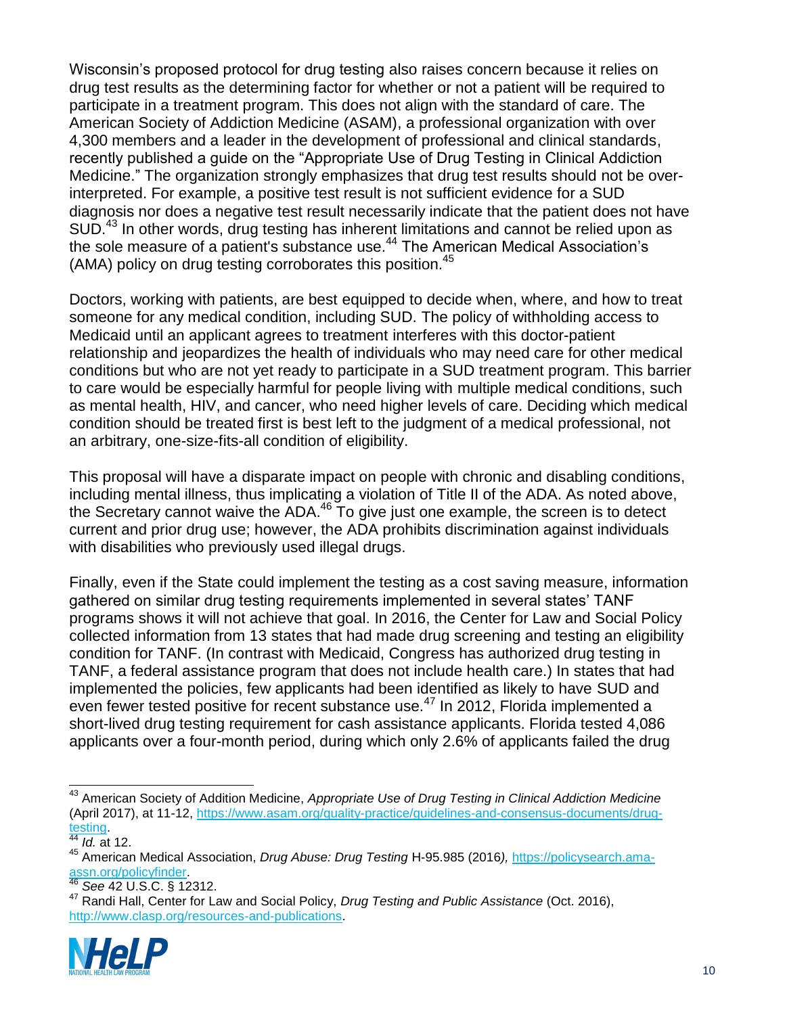Wisconsin's proposed protocol for drug testing also raises concern because it relies on drug test results as the determining factor for whether or not a patient will be required to participate in a treatment program. This does not align with the standard of care. The American Society of Addiction Medicine (ASAM), a professional organization with over 4,300 members and a leader in the development of professional and clinical standards, recently published a guide on the "Appropriate Use of Drug Testing in Clinical Addiction Medicine." The organization strongly emphasizes that drug test results should not be overinterpreted. For example, a positive test result is not sufficient evidence for a SUD diagnosis nor does a negative test result necessarily indicate that the patient does not have SUD.<sup>43</sup> In other words, drug testing has inherent limitations and cannot be relied upon as the sole measure of a patient's substance use.<sup>44</sup> The American Medical Association's (AMA) policy on drug testing corroborates this position.<sup>45</sup>

Doctors, working with patients, are best equipped to decide when, where, and how to treat someone for any medical condition, including SUD. The policy of withholding access to Medicaid until an applicant agrees to treatment interferes with this doctor-patient relationship and jeopardizes the health of individuals who may need care for other medical conditions but who are not yet ready to participate in a SUD treatment program. This barrier to care would be especially harmful for people living with multiple medical conditions, such as mental health, HIV, and cancer, who need higher levels of care. Deciding which medical condition should be treated first is best left to the judgment of a medical professional, not an arbitrary, one-size-fits-all condition of eligibility.

This proposal will have a disparate impact on people with chronic and disabling conditions, including mental illness, thus implicating a violation of Title II of the ADA. As noted above, the Secretary cannot waive the ADA.<sup>46</sup> To give just one example, the screen is to detect current and prior drug use; however, the ADA prohibits discrimination against individuals with disabilities who previously used illegal drugs.

Finally, even if the State could implement the testing as a cost saving measure, information gathered on similar drug testing requirements implemented in several states' TANF programs shows it will not achieve that goal. In 2016, the Center for Law and Social Policy collected information from 13 states that had made drug screening and testing an eligibility condition for TANF. (In contrast with Medicaid, Congress has authorized drug testing in TANF, a federal assistance program that does not include health care.) In states that had implemented the policies, few applicants had been identified as likely to have SUD and even fewer tested positive for recent substance use.<sup>47</sup> In 2012, Florida implemented a short-lived drug testing requirement for cash assistance applicants. Florida tested 4,086 applicants over a four-month period, during which only 2.6% of applicants failed the drug

<sup>47</sup> Randi Hall, Center for Law and Social Policy, *Drug Testing and Public Assistance* (Oct. 2016), [http://www.clasp.org/resources-and-publications.](http://www.clasp.org/resources-and-publications)



l <sup>43</sup> American Society of Addition Medicine, *Appropriate Use of Drug Testing in Clinical Addiction Medicine*  (April 2017), at 11-12, [https://www.asam.org/quality-practice/guidelines-and-consensus-documents/drug](https://www.asam.org/quality-practice/guidelines-and-consensus-documents/drug-testing)[testing.](https://www.asam.org/quality-practice/guidelines-and-consensus-documents/drug-testing)

<sup>44</sup> *Id.* at 12.

<sup>45</sup> American Medical Association, *Drug Abuse: Drug Testing* H-95.985 (2016*),* [https://policysearch.ama](https://policysearch.ama-assn.org/policyfinder)[assn.org/policyfinder.](https://policysearch.ama-assn.org/policyfinder)

<sup>46</sup> *See* 42 U.S.C. § 12312.